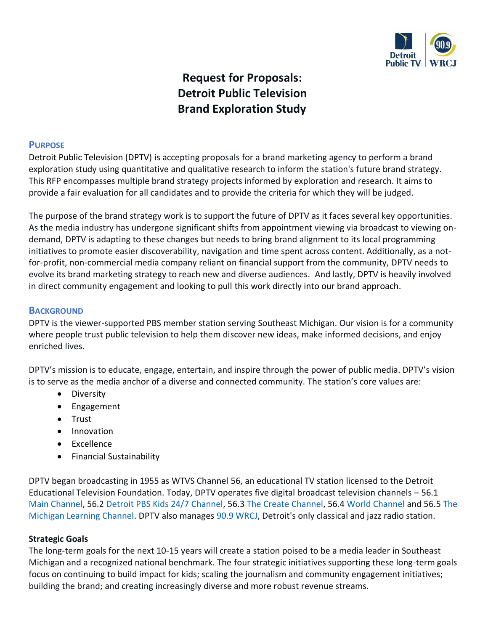

# **Request for Proposals: Detroit Public Television Brand Exploration Study**

## **PURPOSE**

Detroit Public Television (DPTV) is accepting proposals for a brand marketing agency to perform a brand exploration study using quantitative and qualitative research to inform the station's future brand strategy. This RFP encompasses multiple brand strategy projects informed by exploration and research. It aims to provide a fair evaluation for all candidates and to provide the criteria for which they will be judged.

The purpose of the brand strategy work is to support the future of DPTV as it faces several key opportunities. As the media industry has undergone significant shifts from appointment viewing via broadcast to viewing ondemand, DPTV is adapting to these changes but needs to bring brand alignment to its local programming initiatives to promote easier discoverability, navigation and time spent across content. Additionally, as a notfor-profit, non-commercial media company reliant on financial support from the community, DPTV needs to evolve its brand marketing strategy to reach new and diverse audiences. And lastly, DPTV is heavily involved in direct community engagement and looking to pull this work directly into our brand approach.

#### **BACKGROUND**

DPTV is the viewer-supported PBS member station serving Southeast Michigan. Our vision is for a community where people trust public television to help them discover new ideas, make informed decisions, and enjoy enriched lives.

DPTV's mission is to educate, engage, entertain, and inspire through the power of public media. DPTV's vision is to serve as the media anchor of a diverse and connected community. The station's core values are:

- Diversity
- Engagement
- Trust
- Innovation
- Excellence
- Financial Sustainability

DPTV began broadcasting in 1955 as WTVS Channel 56, an educational TV station licensed to the Detroit Educational Television Foundation. Today, DPTV operates five digital broadcast television channels – 56.1 [Main Channel,](http://dptv.org/) 56.2 [Detroit PBS Kids 24/7 Channel,](https://www.dptv.org/kids/kids-video/) 56.3 [The Create Channel,](https://www.dptv.org/programs/arts-culture/create/) 56.[4 World Channel](https://www.dptv.org/programs/leadership-public-affairs/world/) and 56.5 [The](http://michiganlearning.org/)  [Michigan Learning Channel.](http://michiganlearning.org/) DPTV also manages [90.9 WRCJ,](http://wrcjfm.org/) Detroit's only classical and jazz radio station.

#### **Strategic Goals**

The long-term goals for the next 10-15 years will create a station poised to be a media leader in Southeast Michigan and a recognized national benchmark. The four strategic initiatives supporting these long-term goals focus on continuing to build impact for kids; scaling the journalism and community engagement initiatives; building the brand; and creating increasingly diverse and more robust revenue streams.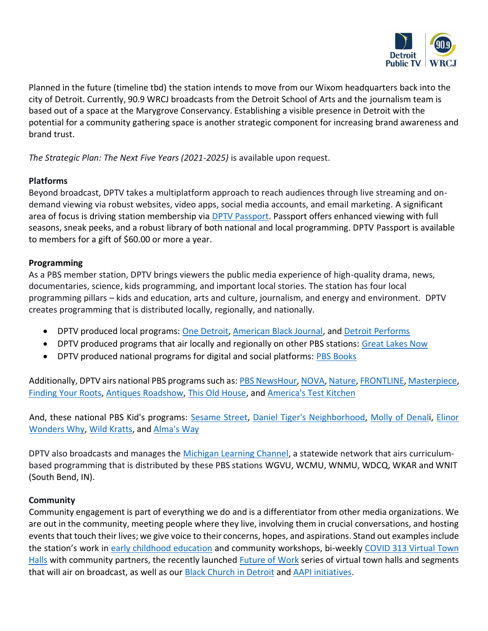

Planned in the future (timeline tbd) the station intends to move from our Wixom headquarters back into the city of Detroit. Currently, 90.9 WRCJ broadcasts from the Detroit School of Arts and the journalism team is based out of a space at the Marygrove Conservancy. Establishing a visible presence in Detroit with the potential for a community gathering space is another strategic component for increasing brand awareness and brand trust.

*The Strategic Plan: The Next Five Years (2021-2025)* is available upon request.

## **Platforms**

Beyond broadcast, DPTV takes a multiplatform approach to reach audiences through live streaming and ondemand viewing via robust websites, video apps, social media accounts, and email marketing. A significant area of focus is driving station membership via [DPTV Passport.](https://video.dptv.org/passport/learn-more/) Passport offers enhanced viewing with full seasons, sneak peeks, and a robust library of both national and local programming. DPTV Passport is available to members for a gift of \$60.00 or more a year.

## **Programming**

As a PBS member station, DPTV brings viewers the public media experience of high-quality drama, news, documentaries, science, kids programming, and important local stories. The station has four local programming pillars – kids and education, arts and culture, journalism, and energy and environment. DPTV creates programming that is distributed locally, regionally, and nationally.

- DPTV produced local programs: [One Detroit,](http://onedetroitpbs.org/) [American Black Journal,](https://www.onedetroitpbs.org/american-black-journal/) and [Detroit Performs](http://detroitperforms.org/)
- DPTV produced programs that air locally and regionally on other PBS stations: [Great Lakes Now](https://www.greatlakesnow.org/)
- DPTV produced national programs for digital and social platforms: [PBS Books](http://www.pbsbooks.org/)

Additionally, DPTV airs national PBS programs such as: PBS [NewsHour,](https://video.dptv.org/show/newshour/) [NOVA,](https://video.dptv.org/show/nova/) [Nature,](https://video.dptv.org/show/nature/) [FRONTLINE,](http://frontline/) [Masterpiece,](http://masterpiece/) [Finding Your Roots,](https://video.dptv.org/show/finding-your-roots/) [Antiques Roadshow,](https://video.dptv.org/show/antiques-roadshow/) [This Old House,](https://video.dptv.org/show/old-house/) and [America's Test Kitchen](https://video.dptv.org/show/americas-test-kitchen-from-cooks-illustrated/)

And, these national PBS Kid's programs: [Sesame Street,](https://pbskids.org/video/sesame-street/3063588588) [Daniel Tiger's Neighborhood,](https://pbskids.org/video/daniel-tigers-neighborhood/2365301132) [Molly of Denali](https://pbskids.org/video/molly-of-denali/3030475679), Elinor [Wonders Why,](https://pbskids.org/video/elinor-wonders-why/3044338456) [Wild Kratts,](https://pbskids.org/video/elinor-wonders-why/3065895781) and [Alma's Way](https://pbskids.org/video/almas-way/3060469029)

DPTV also broadcasts and manages the [Michigan Learning Channel,](https://www.michiganlearning.org/) a statewide network that airs curriculumbased programming that is distributed by these PBS stations WGVU, WCMU, WNMU, WDCQ, WKAR and WNIT (South Bend, IN).

## **Community**

Community engagement is part of everything we do and is a differentiator from other media organizations. We are out in the community, meeting people where they live, involving them in crucial conversations, and hosting events that touch their lives; we give voice to their concerns, hopes, and aspirations. Stand out examples include the station's work in [early childhood education](https://www.dptv.org/education/) and community workshops, bi-weekly [COVID 313 Virtual Town](https://www.onedetroitpbs.org/covid313-town-hall/)  [Halls](https://www.onedetroitpbs.org/covid313-town-hall/) with community partners, the recently launched [Future of Work](https://www.onedetroitpbs.org/future-of-work/) series of virtual town halls and segments that will air on broadcast, as well as our [Black Church in Detroit](https://www.onedetroitpbs.org/abj-church/) and [AAPI initiatives.](https://www.onedetroitpbs.org/category/aapi-stories/)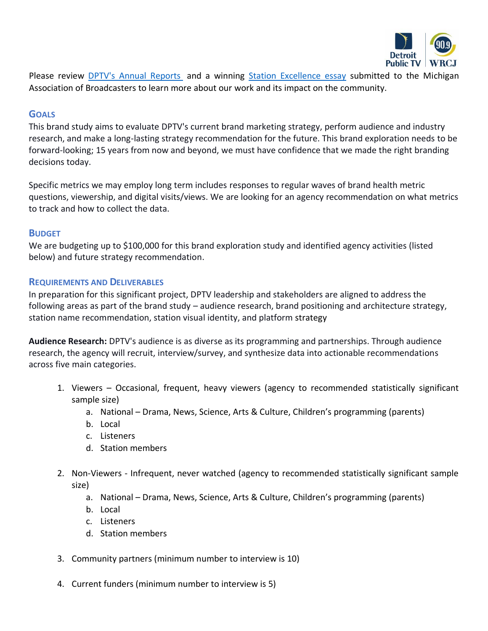

Please review [DPTV's Annual Reports](https://www.dptv.org/about/annual-report/) and a winning [Station Excellence essay](https://michmab.com/wp-content/uploads/2022/03/Public-TV-Station-Excellence-WTVS.pdf) submitted to the Michigan Association of Broadcasters to learn more about our work and its impact on the community.

## **GOALS**

This brand study aims to evaluate DPTV's current brand marketing strategy, perform audience and industry research, and make a long-lasting strategy recommendation for the future. This brand exploration needs to be forward-looking; 15 years from now and beyond, we must have confidence that we made the right branding decisions today.

Specific metrics we may employ long term includes responses to regular waves of brand health metric questions, viewership, and digital visits/views. We are looking for an agency recommendation on what metrics to track and how to collect the data.

## **BUDGET**

We are budgeting up to \$100,000 for this brand exploration study and identified agency activities (listed below) and future strategy recommendation.

## **REQUIREMENTS AND DELIVERABLES**

In preparation for this significant project, DPTV leadership and stakeholders are aligned to address the following areas as part of the brand study – audience research, brand positioning and architecture strategy, station name recommendation, station visual identity, and platform strategy

**Audience Research:** DPTV's audience is as diverse as its programming and partnerships. Through audience research, the agency will recruit, interview/survey, and synthesize data into actionable recommendations across five main categories.

- 1. Viewers Occasional, frequent, heavy viewers (agency to recommended statistically significant sample size)
	- a. National Drama, News, Science, Arts & Culture, Children's programming (parents)
	- b. Local
	- c. Listeners
	- d. Station members
- 2. Non-Viewers Infrequent, never watched (agency to recommended statistically significant sample size)
	- a. National Drama, News, Science, Arts & Culture, Children's programming (parents)
	- b. Local
	- c. Listeners
	- d. Station members
- 3. Community partners (minimum number to interview is 10)
- 4. Current funders (minimum number to interview is 5)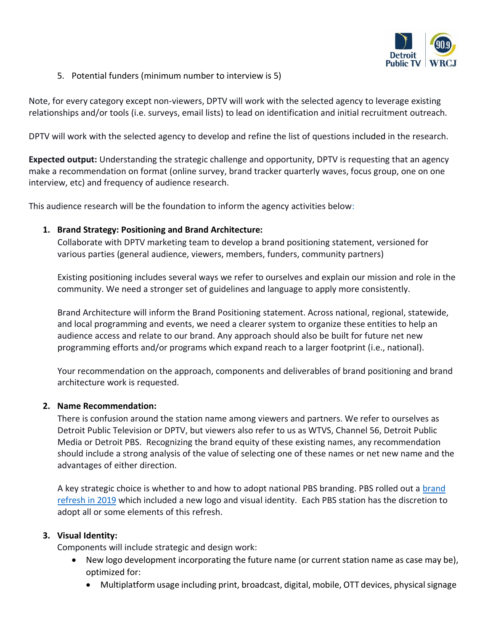

5. Potential funders (minimum number to interview is 5)

Note, for every category except non-viewers, DPTV will work with the selected agency to leverage existing relationships and/or tools (i.e. surveys, email lists) to lead on identification and initial recruitment outreach.

DPTV will work with the selected agency to develop and refine the list of questions included in the research.

**Expected output:** Understanding the strategic challenge and opportunity, DPTV is requesting that an agency make a recommendation on format (online survey, brand tracker quarterly waves, focus group, one on one interview, etc) and frequency of audience research.

This audience research will be the foundation to inform the agency activities below:

## **1. Brand Strategy: Positioning and Brand Architecture:**

Collaborate with DPTV marketing team to develop a brand positioning statement, versioned for various parties (general audience, viewers, members, funders, community partners)

Existing positioning includes several ways we refer to ourselves and explain our mission and role in the community. We need a stronger set of guidelines and language to apply more consistently.

Brand Architecture will inform the Brand Positioning statement. Across national, regional, statewide, and local programming and events, we need a clearer system to organize these entities to help an audience access and relate to our brand. Any approach should also be built for future net new programming efforts and/or programs which expand reach to a larger footprint (i.e., national).

Your recommendation on the approach, components and deliverables of brand positioning and brand architecture work is requested.

## **2. Name Recommendation:**

There is confusion around the station name among viewers and partners. We refer to ourselves as Detroit Public Television or DPTV, but viewers also refer to us as WTVS, Channel 56, Detroit Public Media or Detroit PBS. Recognizing the brand equity of these existing names, any recommendation should include a strong analysis of the value of selecting one of these names or net new name and the advantages of either direction.

A key strategic choice is whether to and how to adopt national PBS branding. PBS rolled out a [brand](https://www.pbs.org/about/about-pbs/blogs/news/pbs-unveils-new-look-on-eve-of-50th-anniversary/)  [refresh in 2019](https://www.pbs.org/about/about-pbs/blogs/news/pbs-unveils-new-look-on-eve-of-50th-anniversary/) which included a new logo and visual identity. Each PBS station has the discretion to adopt all or some elements of this refresh.

## **3. Visual Identity:**

Components will include strategic and design work:

- New logo development incorporating the future name (or current station name as case may be), optimized for:
	- Multiplatform usage including print, broadcast, digital, mobile, OTT devices, physical signage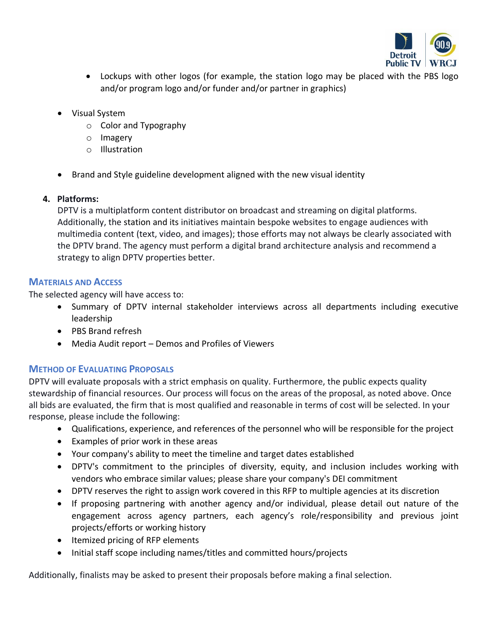

- Lockups with other logos (for example, the station logo may be placed with the PBS logo and/or program logo and/or funder and/or partner in graphics)
- Visual System
	- o Color and Typography
	- o Imagery
	- o Illustration
- Brand and Style guideline development aligned with the new visual identity

# **4. Platforms:**

DPTV is a multiplatform content distributor on broadcast and streaming on digital platforms. Additionally, the station and its initiatives maintain bespoke websites to engage audiences with multimedia content (text, video, and images); those efforts may not always be clearly associated with the DPTV brand. The agency must perform a digital brand architecture analysis and recommend a strategy to align DPTV properties better.

# **MATERIALS AND ACCESS**

The selected agency will have access to:

- Summary of DPTV internal stakeholder interviews across all departments including executive leadership
- PBS Brand refresh
- Media Audit report Demos and Profiles of Viewers

# **METHOD OF EVALUATING PROPOSALS**

DPTV will evaluate proposals with a strict emphasis on quality. Furthermore, the public expects quality stewardship of financial resources. Our process will focus on the areas of the proposal, as noted above. Once all bids are evaluated, the firm that is most qualified and reasonable in terms of cost will be selected. In your response, please include the following:

- Qualifications, experience, and references of the personnel who will be responsible for the project
- Examples of prior work in these areas
- Your company's ability to meet the timeline and target dates established
- DPTV's commitment to the principles of diversity, equity, and inclusion includes working with vendors who embrace similar values; please share your company's DEI commitment
- DPTV reserves the right to assign work covered in this RFP to multiple agencies at its discretion
- If proposing partnering with another agency and/or individual, please detail out nature of the engagement across agency partners, each agency's role/responsibility and previous joint projects/efforts or working history
- Itemized pricing of RFP elements
- Initial staff scope including names/titles and committed hours/projects

Additionally, finalists may be asked to present their proposals before making a final selection.